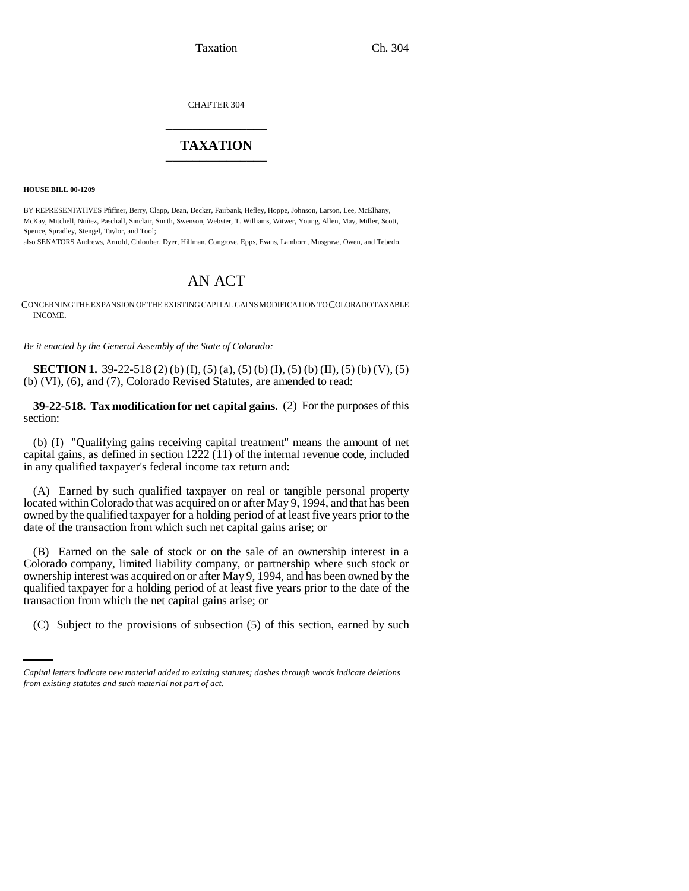CHAPTER 304 \_\_\_\_\_\_\_\_\_\_\_\_\_\_\_

# **TAXATION** \_\_\_\_\_\_\_\_\_\_\_\_\_\_\_

**HOUSE BILL 00-1209** 

BY REPRESENTATIVES Pfiffner, Berry, Clapp, Dean, Decker, Fairbank, Hefley, Hoppe, Johnson, Larson, Lee, McElhany, McKay, Mitchell, Nuñez, Paschall, Sinclair, Smith, Swenson, Webster, T. Williams, Witwer, Young, Allen, May, Miller, Scott, Spence, Spradley, Stengel, Taylor, and Tool;

also SENATORS Andrews, Arnold, Chlouber, Dyer, Hillman, Congrove, Epps, Evans, Lamborn, Musgrave, Owen, and Tebedo.

# AN ACT

CONCERNING THE EXPANSION OF THE EXISTING CAPITAL GAINS MODIFICATION TO COLORADO TAXABLE INCOME.

*Be it enacted by the General Assembly of the State of Colorado:*

**SECTION 1.** 39-22-518 (2) (b) (I), (5) (a), (5) (b) (I), (5) (b) (II), (5) (b) (V), (5) (b) (VI), (6), and (7), Colorado Revised Statutes, are amended to read:

**39-22-518. Tax modification for net capital gains.** (2) For the purposes of this section:

(b) (I) "Qualifying gains receiving capital treatment" means the amount of net capital gains, as defined in section 1222 (11) of the internal revenue code, included in any qualified taxpayer's federal income tax return and:

(A) Earned by such qualified taxpayer on real or tangible personal property located within Colorado that was acquired on or after May 9, 1994, and that has been owned by the qualified taxpayer for a holding period of at least five years prior to the date of the transaction from which such net capital gains arise; or

transaction from which the net capital gains arise; or (B) Earned on the sale of stock or on the sale of an ownership interest in a Colorado company, limited liability company, or partnership where such stock or ownership interest was acquired on or after May 9, 1994, and has been owned by the qualified taxpayer for a holding period of at least five years prior to the date of the

(C) Subject to the provisions of subsection (5) of this section, earned by such

*Capital letters indicate new material added to existing statutes; dashes through words indicate deletions from existing statutes and such material not part of act.*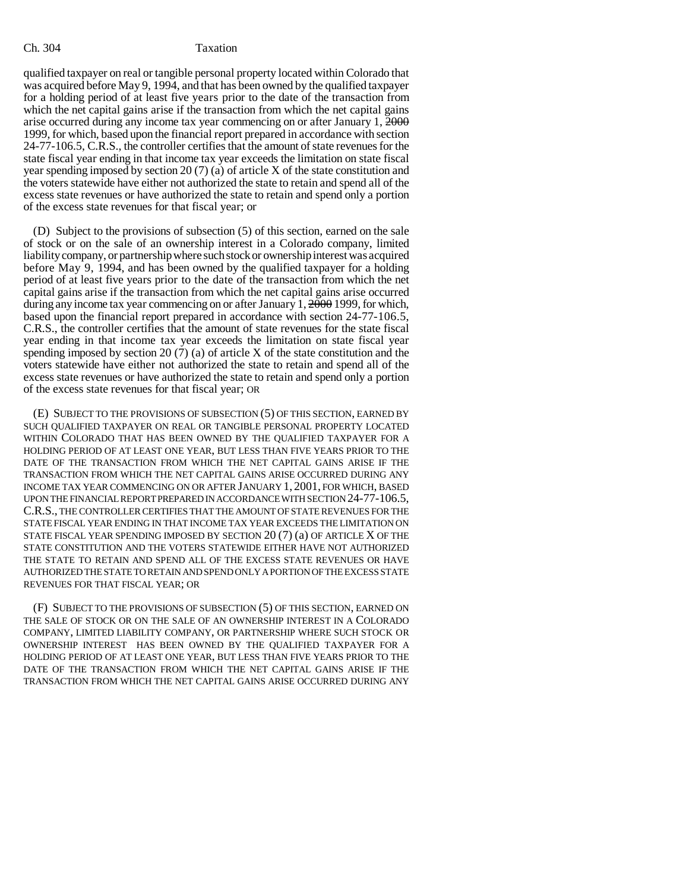qualified taxpayer on real or tangible personal property located within Colorado that was acquired before May 9, 1994, and that has been owned by the qualified taxpayer for a holding period of at least five years prior to the date of the transaction from which the net capital gains arise if the transaction from which the net capital gains arise occurred during any income tax year commencing on or after January 1, 2000 1999, for which, based upon the financial report prepared in accordance with section 24-77-106.5, C.R.S., the controller certifies that the amount of state revenues for the state fiscal year ending in that income tax year exceeds the limitation on state fiscal year spending imposed by section 20 (7) (a) of article X of the state constitution and the voters statewide have either not authorized the state to retain and spend all of the excess state revenues or have authorized the state to retain and spend only a portion of the excess state revenues for that fiscal year; or

(D) Subject to the provisions of subsection (5) of this section, earned on the sale of stock or on the sale of an ownership interest in a Colorado company, limited liability company, or partnership where such stock or ownership interest was acquired before May 9, 1994, and has been owned by the qualified taxpayer for a holding period of at least five years prior to the date of the transaction from which the net capital gains arise if the transaction from which the net capital gains arise occurred during any income tax year commencing on or after January  $1, \frac{2000}{1999}$ , for which, based upon the financial report prepared in accordance with section 24-77-106.5, C.R.S., the controller certifies that the amount of state revenues for the state fiscal year ending in that income tax year exceeds the limitation on state fiscal year spending imposed by section 20 (7) (a) of article X of the state constitution and the voters statewide have either not authorized the state to retain and spend all of the excess state revenues or have authorized the state to retain and spend only a portion of the excess state revenues for that fiscal year; OR

(E) SUBJECT TO THE PROVISIONS OF SUBSECTION (5) OF THIS SECTION, EARNED BY SUCH QUALIFIED TAXPAYER ON REAL OR TANGIBLE PERSONAL PROPERTY LOCATED WITHIN COLORADO THAT HAS BEEN OWNED BY THE QUALIFIED TAXPAYER FOR A HOLDING PERIOD OF AT LEAST ONE YEAR, BUT LESS THAN FIVE YEARS PRIOR TO THE DATE OF THE TRANSACTION FROM WHICH THE NET CAPITAL GAINS ARISE IF THE TRANSACTION FROM WHICH THE NET CAPITAL GAINS ARISE OCCURRED DURING ANY INCOME TAX YEAR COMMENCING ON OR AFTER JANUARY 1, 2001, FOR WHICH, BASED UPON THE FINANCIAL REPORT PREPARED IN ACCORDANCE WITH SECTION 24-77-106.5, C.R.S., THE CONTROLLER CERTIFIES THAT THE AMOUNT OF STATE REVENUES FOR THE STATE FISCAL YEAR ENDING IN THAT INCOME TAX YEAR EXCEEDS THE LIMITATION ON STATE FISCAL YEAR SPENDING IMPOSED BY SECTION 20 (7) (a) OF ARTICLE X OF THE STATE CONSTITUTION AND THE VOTERS STATEWIDE EITHER HAVE NOT AUTHORIZED THE STATE TO RETAIN AND SPEND ALL OF THE EXCESS STATE REVENUES OR HAVE AUTHORIZED THE STATE TO RETAIN AND SPEND ONLY A PORTION OF THE EXCESS STATE REVENUES FOR THAT FISCAL YEAR; OR

(F) SUBJECT TO THE PROVISIONS OF SUBSECTION (5) OF THIS SECTION, EARNED ON THE SALE OF STOCK OR ON THE SALE OF AN OWNERSHIP INTEREST IN A COLORADO COMPANY, LIMITED LIABILITY COMPANY, OR PARTNERSHIP WHERE SUCH STOCK OR OWNERSHIP INTEREST HAS BEEN OWNED BY THE QUALIFIED TAXPAYER FOR A HOLDING PERIOD OF AT LEAST ONE YEAR, BUT LESS THAN FIVE YEARS PRIOR TO THE DATE OF THE TRANSACTION FROM WHICH THE NET CAPITAL GAINS ARISE IF THE TRANSACTION FROM WHICH THE NET CAPITAL GAINS ARISE OCCURRED DURING ANY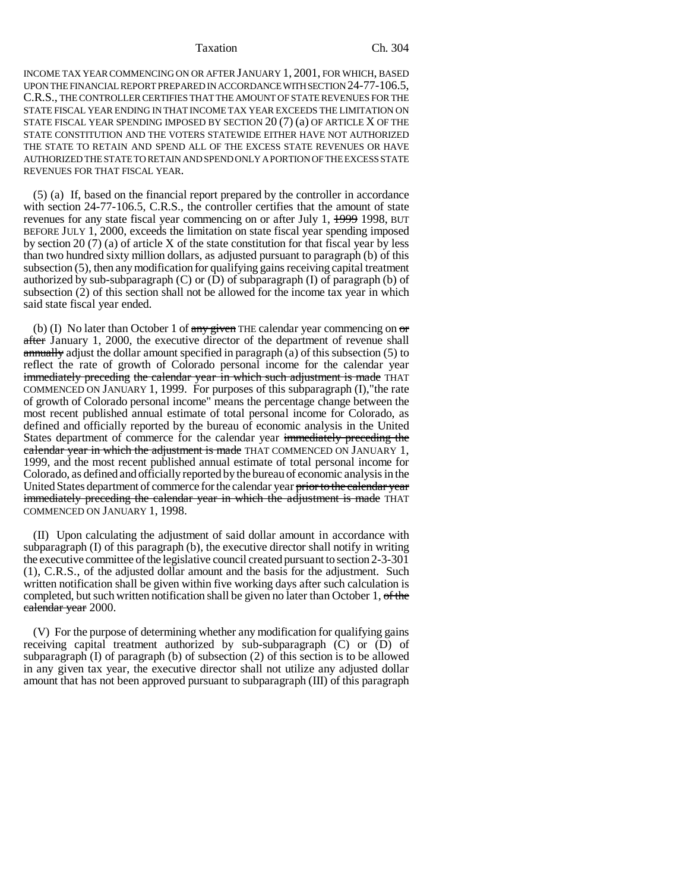### Taxation Ch. 304

INCOME TAX YEAR COMMENCING ON OR AFTER JANUARY 1, 2001, FOR WHICH, BASED UPON THE FINANCIAL REPORT PREPARED IN ACCORDANCE WITH SECTION 24-77-106.5, C.R.S., THE CONTROLLER CERTIFIES THAT THE AMOUNT OF STATE REVENUES FOR THE STATE FISCAL YEAR ENDING IN THAT INCOME TAX YEAR EXCEEDS THE LIMITATION ON STATE FISCAL YEAR SPENDING IMPOSED BY SECTION 20 (7) (a) OF ARTICLE X OF THE STATE CONSTITUTION AND THE VOTERS STATEWIDE EITHER HAVE NOT AUTHORIZED THE STATE TO RETAIN AND SPEND ALL OF THE EXCESS STATE REVENUES OR HAVE AUTHORIZED THE STATE TO RETAIN AND SPEND ONLY A PORTION OF THE EXCESS STATE REVENUES FOR THAT FISCAL YEAR.

(5) (a) If, based on the financial report prepared by the controller in accordance with section 24-77-106.5, C.R.S., the controller certifies that the amount of state revenues for any state fiscal year commencing on or after July 1, 1999 1998, BUT BEFORE JULY 1, 2000, exceeds the limitation on state fiscal year spending imposed by section 20 (7) (a) of article X of the state constitution for that fiscal year by less than two hundred sixty million dollars, as adjusted pursuant to paragraph (b) of this subsection (5), then any modification for qualifying gains receiving capital treatment authorized by sub-subparagraph  $(C)$  or  $(D)$  of subparagraph  $(I)$  of paragraph  $(b)$  of subsection (2) of this section shall not be allowed for the income tax year in which said state fiscal year ended.

(b) (I) No later than October 1 of  $\frac{any}{given}$  THE calendar year commencing on  $\sigma$ after January 1, 2000, the executive director of the department of revenue shall annually adjust the dollar amount specified in paragraph (a) of this subsection (5) to reflect the rate of growth of Colorado personal income for the calendar year immediately preceding the calendar year in which such adjustment is made THAT COMMENCED ON JANUARY 1, 1999. For purposes of this subparagraph (I),"the rate of growth of Colorado personal income" means the percentage change between the most recent published annual estimate of total personal income for Colorado, as defined and officially reported by the bureau of economic analysis in the United States department of commerce for the calendar year immediately preceding the calendar year in which the adjustment is made THAT COMMENCED ON JANUARY 1, 1999, and the most recent published annual estimate of total personal income for Colorado, as defined and officially reported by the bureau of economic analysis in the United States department of commerce for the calendar year prior to the calendar year immediately preceding the calendar year in which the adjustment is made THAT COMMENCED ON JANUARY 1, 1998.

(II) Upon calculating the adjustment of said dollar amount in accordance with subparagraph (I) of this paragraph (b), the executive director shall notify in writing the executive committee of the legislative council created pursuant to section 2-3-301 (1), C.R.S., of the adjusted dollar amount and the basis for the adjustment. Such written notification shall be given within five working days after such calculation is completed, but such written notification shall be given no later than October 1, of the calendar year 2000.

(V) For the purpose of determining whether any modification for qualifying gains receiving capital treatment authorized by sub-subparagraph (C) or (D) of subparagraph  $(I)$  of paragraph  $(b)$  of subsection  $(2)$  of this section is to be allowed in any given tax year, the executive director shall not utilize any adjusted dollar amount that has not been approved pursuant to subparagraph (III) of this paragraph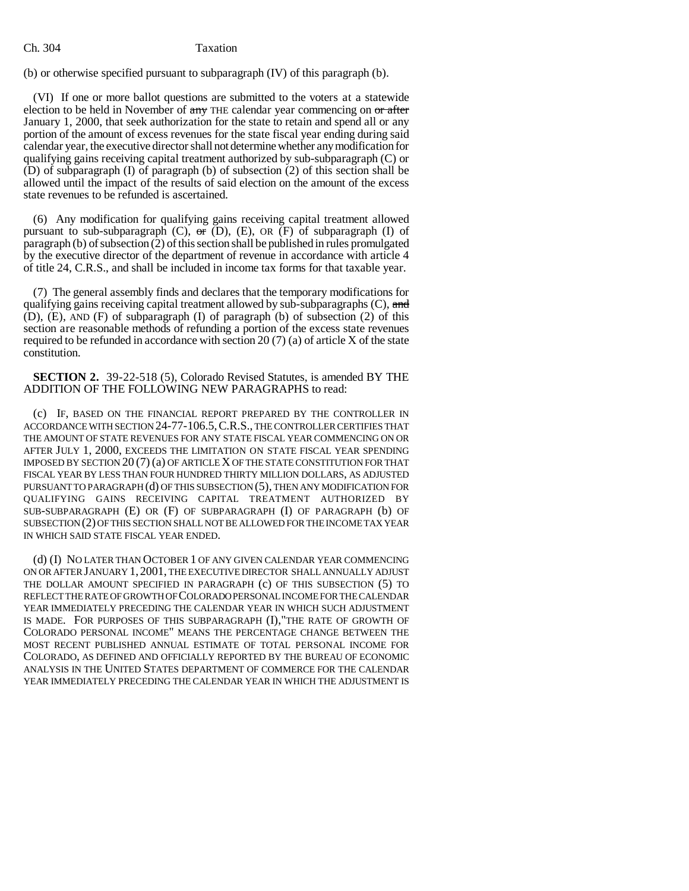## Ch. 304 Taxation

(b) or otherwise specified pursuant to subparagraph (IV) of this paragraph (b).

(VI) If one or more ballot questions are submitted to the voters at a statewide election to be held in November of  $\frac{any}{any}$  THE calendar year commencing on  $\frac{or}{any}$ January 1, 2000, that seek authorization for the state to retain and spend all or any portion of the amount of excess revenues for the state fiscal year ending during said calendar year, the executive director shall not determine whether any modification for qualifying gains receiving capital treatment authorized by sub-subparagraph (C) or (D) of subparagraph (I) of paragraph (b) of subsection (2) of this section shall be allowed until the impact of the results of said election on the amount of the excess state revenues to be refunded is ascertained.

(6) Any modification for qualifying gains receiving capital treatment allowed pursuant to sub-subparagraph  $(C)$ ,  $\sigma$   $(D)$ ,  $(E)$ ,  $OR$   $(F)$  of subparagraph  $(I)$  of paragraph (b) of subsection (2) of this section shall be published in rules promulgated by the executive director of the department of revenue in accordance with article 4 of title 24, C.R.S., and shall be included in income tax forms for that taxable year.

(7) The general assembly finds and declares that the temporary modifications for qualifying gains receiving capital treatment allowed by sub-subparagraphs  $(C)$ , and (D), (E), AND (F) of subparagraph (I) of paragraph (b) of subsection (2) of this section are reasonable methods of refunding a portion of the excess state revenues required to be refunded in accordance with section 20  $(7)$  (a) of article X of the state constitution.

**SECTION 2.** 39-22-518 (5), Colorado Revised Statutes, is amended BY THE ADDITION OF THE FOLLOWING NEW PARAGRAPHS to read:

(c) IF, BASED ON THE FINANCIAL REPORT PREPARED BY THE CONTROLLER IN ACCORDANCE WITH SECTION 24-77-106.5,C.R.S., THE CONTROLLER CERTIFIES THAT THE AMOUNT OF STATE REVENUES FOR ANY STATE FISCAL YEAR COMMENCING ON OR AFTER JULY 1, 2000, EXCEEDS THE LIMITATION ON STATE FISCAL YEAR SPENDING IMPOSED BY SECTION 20 (7) (a) OF ARTICLE X OF THE STATE CONSTITUTION FOR THAT FISCAL YEAR BY LESS THAN FOUR HUNDRED THIRTY MILLION DOLLARS, AS ADJUSTED PURSUANT TO PARAGRAPH (d) OF THIS SUBSECTION (5), THEN ANY MODIFICATION FOR QUALIFYING GAINS RECEIVING CAPITAL TREATMENT AUTHORIZED BY SUB-SUBPARAGRAPH (E) OR (F) OF SUBPARAGRAPH (I) OF PARAGRAPH (b) OF SUBSECTION (2) OF THIS SECTION SHALL NOT BE ALLOWED FOR THE INCOME TAX YEAR IN WHICH SAID STATE FISCAL YEAR ENDED.

(d) (I) NO LATER THAN OCTOBER 1 OF ANY GIVEN CALENDAR YEAR COMMENCING ON OR AFTER JANUARY 1, 2001, THE EXECUTIVE DIRECTOR SHALL ANNUALLY ADJUST THE DOLLAR AMOUNT SPECIFIED IN PARAGRAPH (c) OF THIS SUBSECTION (5) TO REFLECT THE RATE OF GROWTH OF COLORADO PERSONAL INCOME FOR THE CALENDAR YEAR IMMEDIATELY PRECEDING THE CALENDAR YEAR IN WHICH SUCH ADJUSTMENT IS MADE. FOR PURPOSES OF THIS SUBPARAGRAPH (I),"THE RATE OF GROWTH OF COLORADO PERSONAL INCOME" MEANS THE PERCENTAGE CHANGE BETWEEN THE MOST RECENT PUBLISHED ANNUAL ESTIMATE OF TOTAL PERSONAL INCOME FOR COLORADO, AS DEFINED AND OFFICIALLY REPORTED BY THE BUREAU OF ECONOMIC ANALYSIS IN THE UNITED STATES DEPARTMENT OF COMMERCE FOR THE CALENDAR YEAR IMMEDIATELY PRECEDING THE CALENDAR YEAR IN WHICH THE ADJUSTMENT IS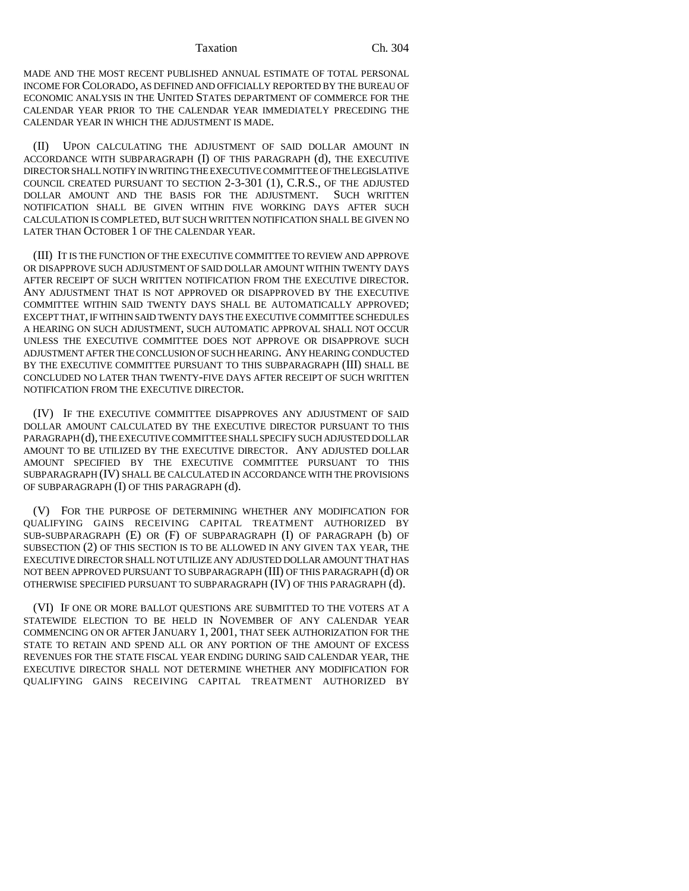#### Taxation Ch. 304

MADE AND THE MOST RECENT PUBLISHED ANNUAL ESTIMATE OF TOTAL PERSONAL INCOME FOR COLORADO, AS DEFINED AND OFFICIALLY REPORTED BY THE BUREAU OF ECONOMIC ANALYSIS IN THE UNITED STATES DEPARTMENT OF COMMERCE FOR THE CALENDAR YEAR PRIOR TO THE CALENDAR YEAR IMMEDIATELY PRECEDING THE CALENDAR YEAR IN WHICH THE ADJUSTMENT IS MADE.

(II) UPON CALCULATING THE ADJUSTMENT OF SAID DOLLAR AMOUNT IN ACCORDANCE WITH SUBPARAGRAPH (I) OF THIS PARAGRAPH (d), THE EXECUTIVE DIRECTOR SHALL NOTIFY IN WRITING THE EXECUTIVE COMMITTEE OF THE LEGISLATIVE COUNCIL CREATED PURSUANT TO SECTION 2-3-301 (1), C.R.S., OF THE ADJUSTED DOLLAR AMOUNT AND THE BASIS FOR THE ADJUSTMENT. SUCH WRITTEN NOTIFICATION SHALL BE GIVEN WITHIN FIVE WORKING DAYS AFTER SUCH CALCULATION IS COMPLETED, BUT SUCH WRITTEN NOTIFICATION SHALL BE GIVEN NO LATER THAN OCTOBER 1 OF THE CALENDAR YEAR.

(III) IT IS THE FUNCTION OF THE EXECUTIVE COMMITTEE TO REVIEW AND APPROVE OR DISAPPROVE SUCH ADJUSTMENT OF SAID DOLLAR AMOUNT WITHIN TWENTY DAYS AFTER RECEIPT OF SUCH WRITTEN NOTIFICATION FROM THE EXECUTIVE DIRECTOR. ANY ADJUSTMENT THAT IS NOT APPROVED OR DISAPPROVED BY THE EXECUTIVE COMMITTEE WITHIN SAID TWENTY DAYS SHALL BE AUTOMATICALLY APPROVED; EXCEPT THAT, IF WITHIN SAID TWENTY DAYS THE EXECUTIVE COMMITTEE SCHEDULES A HEARING ON SUCH ADJUSTMENT, SUCH AUTOMATIC APPROVAL SHALL NOT OCCUR UNLESS THE EXECUTIVE COMMITTEE DOES NOT APPROVE OR DISAPPROVE SUCH ADJUSTMENT AFTER THE CONCLUSION OF SUCH HEARING. ANY HEARING CONDUCTED BY THE EXECUTIVE COMMITTEE PURSUANT TO THIS SUBPARAGRAPH (III) SHALL BE CONCLUDED NO LATER THAN TWENTY-FIVE DAYS AFTER RECEIPT OF SUCH WRITTEN NOTIFICATION FROM THE EXECUTIVE DIRECTOR.

(IV) IF THE EXECUTIVE COMMITTEE DISAPPROVES ANY ADJUSTMENT OF SAID DOLLAR AMOUNT CALCULATED BY THE EXECUTIVE DIRECTOR PURSUANT TO THIS PARAGRAPH (d), THE EXECUTIVE COMMITTEE SHALL SPECIFY SUCH ADJUSTED DOLLAR AMOUNT TO BE UTILIZED BY THE EXECUTIVE DIRECTOR. ANY ADJUSTED DOLLAR AMOUNT SPECIFIED BY THE EXECUTIVE COMMITTEE PURSUANT TO THIS SUBPARAGRAPH (IV) SHALL BE CALCULATED IN ACCORDANCE WITH THE PROVISIONS OF SUBPARAGRAPH (I) OF THIS PARAGRAPH (d).

(V) FOR THE PURPOSE OF DETERMINING WHETHER ANY MODIFICATION FOR QUALIFYING GAINS RECEIVING CAPITAL TREATMENT AUTHORIZED BY SUB-SUBPARAGRAPH (E) OR (F) OF SUBPARAGRAPH (I) OF PARAGRAPH (b) OF SUBSECTION (2) OF THIS SECTION IS TO BE ALLOWED IN ANY GIVEN TAX YEAR, THE EXECUTIVE DIRECTOR SHALL NOT UTILIZE ANY ADJUSTED DOLLAR AMOUNT THAT HAS NOT BEEN APPROVED PURSUANT TO SUBPARAGRAPH (III) OF THIS PARAGRAPH (d) OR OTHERWISE SPECIFIED PURSUANT TO SUBPARAGRAPH (IV) OF THIS PARAGRAPH (d).

(VI) IF ONE OR MORE BALLOT QUESTIONS ARE SUBMITTED TO THE VOTERS AT A STATEWIDE ELECTION TO BE HELD IN NOVEMBER OF ANY CALENDAR YEAR COMMENCING ON OR AFTER JANUARY 1, 2001, THAT SEEK AUTHORIZATION FOR THE STATE TO RETAIN AND SPEND ALL OR ANY PORTION OF THE AMOUNT OF EXCESS REVENUES FOR THE STATE FISCAL YEAR ENDING DURING SAID CALENDAR YEAR, THE EXECUTIVE DIRECTOR SHALL NOT DETERMINE WHETHER ANY MODIFICATION FOR QUALIFYING GAINS RECEIVING CAPITAL TREATMENT AUTHORIZED BY